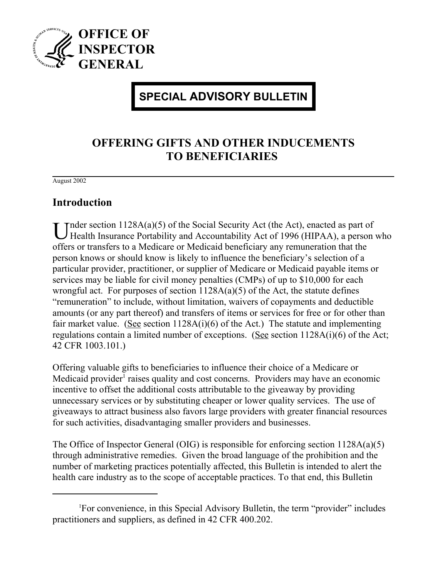

# **SPECIAL ADVISORY BULLETIN**

## **OFFERING GIFTS AND OTHER INDUCEMENTS TO BENEFICIARIES**

August 2002

#### **Introduction**

Under section 1128A(a)(5) of the Social Security Act (the Act), enacted as part of Health Insurance Portability and Accountability Act of 1996 (HIPAA), a person who offers or transfers to a Medicare or Medicaid beneficiary any remuneration that the person knows or should know is likely to influence the beneficiary's selection of a particular provider, practitioner, or supplier of Medicare or Medicaid payable items or services may be liable for civil money penalties (CMPs) of up to \$10,000 for each wrongful act. For purposes of section  $1128A(a)(5)$  of the Act, the statute defines "remuneration" to include, without limitation, waivers of copayments and deductible amounts (or any part thereof) and transfers of items or services for free or for other than fair market value. (See section  $1128A(i)(6)$  of the Act.) The statute and implementing regulations contain a limited number of exceptions. (See section 1128A(i)(6) of the Act; 42 CFR 1003.101.)

Offering valuable gifts to beneficiaries to influence their choice of a Medicare or Medicaid provider<sup>1</sup> raises quality and cost concerns. Providers may have an economic incentive to offset the additional costs attributable to the giveaway by providing unnecessary services or by substituting cheaper or lower quality services. The use of giveaways to attract business also favors large providers with greater financial resources for such activities, disadvantaging smaller providers and businesses.

The Office of Inspector General (OIG) is responsible for enforcing section 1128A(a)(5) through administrative remedies. Given the broad language of the prohibition and the number of marketing practices potentially affected, this Bulletin is intended to alert the health care industry as to the scope of acceptable practices. To that end, this Bulletin

<sup>&</sup>lt;sup>1</sup>For convenience, in this Special Advisory Bulletin, the term "provider" includes practitioners and suppliers, as defined in 42 CFR 400.202.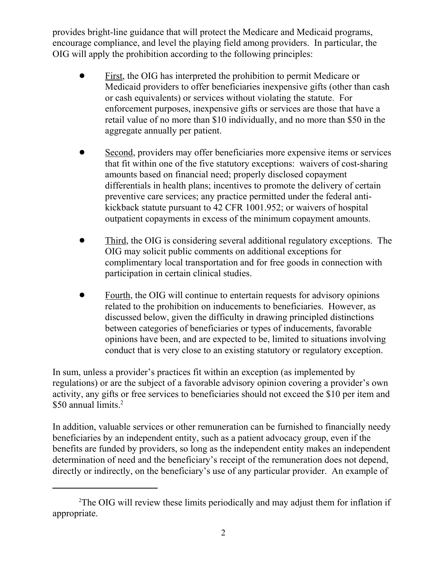provides bright-line guidance that will protect the Medicare and Medicaid programs, encourage compliance, and level the playing field among providers. In particular, the OIG will apply the prohibition according to the following principles:

- ! First, the OIG has interpreted the prohibition to permit Medicare or Medicaid providers to offer beneficiaries inexpensive gifts (other than cash or cash equivalents) or services without violating the statute. For enforcement purposes, inexpensive gifts or services are those that have a retail value of no more than \$10 individually, and no more than \$50 in the aggregate annually per patient.
- Second, providers may offer beneficiaries more expensive items or services that fit within one of the five statutory exceptions: waivers of cost-sharing amounts based on financial need; properly disclosed copayment differentials in health plans; incentives to promote the delivery of certain preventive care services; any practice permitted under the federal antikickback statute pursuant to 42 CFR 1001.952; or waivers of hospital outpatient copayments in excess of the minimum copayment amounts.
- ! Third, the OIG is considering several additional regulatory exceptions. The OIG may solicit public comments on additional exceptions for complimentary local transportation and for free goods in connection with participation in certain clinical studies.
- ! Fourth, the OIG will continue to entertain requests for advisory opinions related to the prohibition on inducements to beneficiaries. However, as discussed below, given the difficulty in drawing principled distinctions between categories of beneficiaries or types of inducements, favorable opinions have been, and are expected to be, limited to situations involving conduct that is very close to an existing statutory or regulatory exception.

In sum, unless a provider's practices fit within an exception (as implemented by regulations) or are the subject of a favorable advisory opinion covering a provider's own activity, any gifts or free services to beneficiaries should not exceed the \$10 per item and \$50 annual limits.<sup>2</sup>

In addition, valuable services or other remuneration can be furnished to financially needy beneficiaries by an independent entity, such as a patient advocacy group, even if the benefits are funded by providers, so long as the independent entity makes an independent determination of need and the beneficiary's receipt of the remuneration does not depend, directly or indirectly, on the beneficiary's use of any particular provider. An example of

<sup>2</sup> The OIG will review these limits periodically and may adjust them for inflation if appropriate.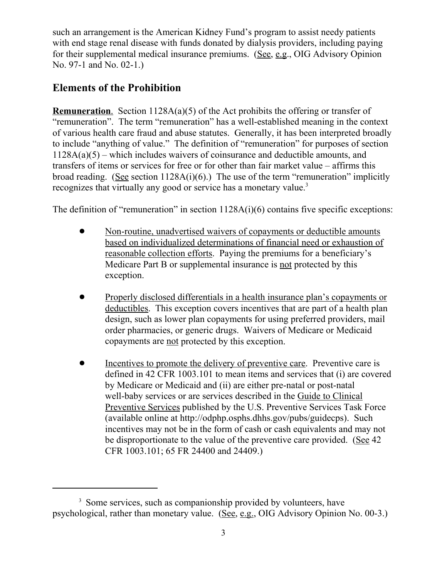such an arrangement is the American Kidney Fund's program to assist needy patients with end stage renal disease with funds donated by dialysis providers, including paying for their supplemental medical insurance premiums. (See, e.g., OIG Advisory Opinion No. 97-1 and No. 02-1.)

### **Elements of the Prohibition**

**Remuneration**. Section 1128A(a)(5) of the Act prohibits the offering or transfer of "remuneration". The term "remuneration" has a well-established meaning in the context of various health care fraud and abuse statutes. Generally, it has been interpreted broadly to include "anything of value." The definition of "remuneration" for purposes of section  $1128A(a)(5)$  – which includes waivers of coinsurance and deductible amounts, and transfers of items or services for free or for other than fair market value – affirms this broad reading. (See section  $1128A(i)(6)$ .) The use of the term "remuneration" implicitly recognizes that virtually any good or service has a monetary value.<sup>3</sup>

The definition of "remuneration" in section  $1128A(i)(6)$  contains five specific exceptions:

- Non-routine, unadvertised waivers of copayments or deductible amounts based on individualized determinations of financial need or exhaustion of reasonable collection efforts. Paying the premiums for a beneficiary's Medicare Part B or supplemental insurance is not protected by this exception.
- ! Properly disclosed differentials in a health insurance plan's copayments or deductibles. This exception covers incentives that are part of a health plan design, such as lower plan copayments for using preferred providers, mail order pharmacies, or generic drugs. Waivers of Medicare or Medicaid copayments are not protected by this exception.
- Incentives to promote the delivery of preventive care. Preventive care is defined in 42 CFR 1003.101 to mean items and services that (i) are covered by Medicare or Medicaid and (ii) are either pre-natal or post-natal well-baby services or are services described in the Guide to Clinical Preventive Services published by the U.S. Preventive Services Task Force (available online at http://odphp.osphs.dhhs.gov/pubs/guidecps). Such incentives may not be in the form of cash or cash equivalents and may not be disproportionate to the value of the preventive care provided. (See 42) CFR 1003.101; 65 FR 24400 and 24409.)

<sup>&</sup>lt;sup>3</sup> Some services, such as companionship provided by volunteers, have psychological, rather than monetary value. (See, e.g., OIG Advisory Opinion No. 00-3.)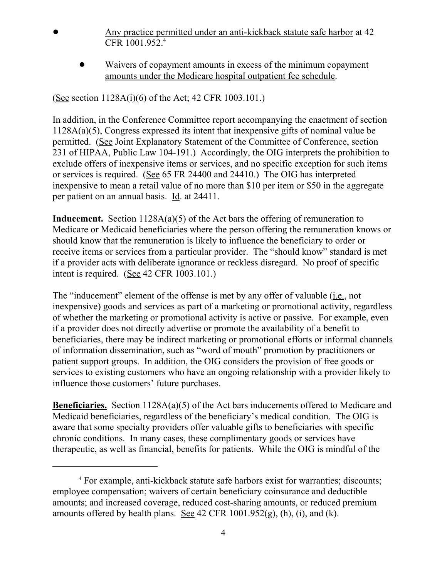- ! Any practice permitted under an anti-kickback statute safe harbor at 42 CFR 1001.952.4
	- Waivers of copayment amounts in excess of the minimum copayment amounts under the Medicare hospital outpatient fee schedule.

(See section 1128A(i)(6) of the Act; 42 CFR 1003.101.)

In addition, in the Conference Committee report accompanying the enactment of section 1128A(a)(5), Congress expressed its intent that inexpensive gifts of nominal value be permitted. (See Joint Explanatory Statement of the Committee of Conference, section 231 of HIPAA, Public Law 104-191.) Accordingly, the OIG interprets the prohibition to exclude offers of inexpensive items or services, and no specific exception for such items or services is required. (See 65 FR 24400 and 24410.) The OIG has interpreted inexpensive to mean a retail value of no more than \$10 per item or \$50 in the aggregate per patient on an annual basis. Id. at 24411.

**Inducement.** Section 1128A(a)(5) of the Act bars the offering of remuneration to Medicare or Medicaid beneficiaries where the person offering the remuneration knows or should know that the remuneration is likely to influence the beneficiary to order or receive items or services from a particular provider. The "should know" standard is met if a provider acts with deliberate ignorance or reckless disregard. No proof of specific intent is required. (See 42 CFR 1003.101.)

The "inducement" element of the offense is met by any offer of valuable (i.e., not inexpensive) goods and services as part of a marketing or promotional activity, regardless of whether the marketing or promotional activity is active or passive. For example, even if a provider does not directly advertise or promote the availability of a benefit to beneficiaries, there may be indirect marketing or promotional efforts or informal channels of information dissemination, such as "word of mouth" promotion by practitioners or patient support groups. In addition, the OIG considers the provision of free goods or services to existing customers who have an ongoing relationship with a provider likely to influence those customers' future purchases.

**Beneficiaries.** Section 1128A(a)(5) of the Act bars inducements offered to Medicare and Medicaid beneficiaries, regardless of the beneficiary's medical condition. The OIG is aware that some specialty providers offer valuable gifts to beneficiaries with specific chronic conditions. In many cases, these complimentary goods or services have therapeutic, as well as financial, benefits for patients. While the OIG is mindful of the

<sup>4</sup> For example, anti-kickback statute safe harbors exist for warranties; discounts; employee compensation; waivers of certain beneficiary coinsurance and deductible amounts; and increased coverage, reduced cost-sharing amounts, or reduced premium amounts offered by health plans. See 42 CFR  $1001.952(g)$ , (h), (i), and (k).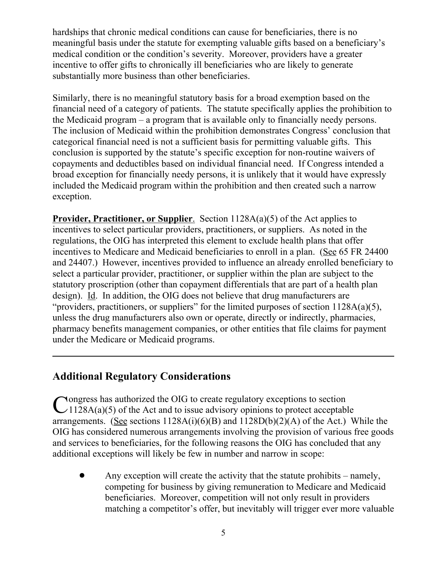hardships that chronic medical conditions can cause for beneficiaries, there is no meaningful basis under the statute for exempting valuable gifts based on a beneficiary's medical condition or the condition's severity. Moreover, providers have a greater incentive to offer gifts to chronically ill beneficiaries who are likely to generate substantially more business than other beneficiaries.

Similarly, there is no meaningful statutory basis for a broad exemption based on the financial need of a category of patients. The statute specifically applies the prohibition to the Medicaid program – a program that is available only to financially needy persons. The inclusion of Medicaid within the prohibition demonstrates Congress' conclusion that categorical financial need is not a sufficient basis for permitting valuable gifts. This conclusion is supported by the statute's specific exception for non-routine waivers of copayments and deductibles based on individual financial need. If Congress intended a broad exception for financially needy persons, it is unlikely that it would have expressly included the Medicaid program within the prohibition and then created such a narrow exception.

**Provider, Practitioner, or Supplier.** Section 1128A(a)(5) of the Act applies to incentives to select particular providers, practitioners, or suppliers. As noted in the regulations, the OIG has interpreted this element to exclude health plans that offer incentives to Medicare and Medicaid beneficiaries to enroll in a plan. (See 65 FR 24400 and 24407.) However, incentives provided to influence an already enrolled beneficiary to select a particular provider, practitioner, or supplier within the plan are subject to the statutory proscription (other than copayment differentials that are part of a health plan design). Id. In addition, the OIG does not believe that drug manufacturers are "providers, practitioners, or suppliers" for the limited purposes of section  $1128A(a)(5)$ , unless the drug manufacturers also own or operate, directly or indirectly, pharmacies, pharmacy benefits management companies, or other entities that file claims for payment under the Medicare or Medicaid programs.

#### **Additional Regulatory Considerations**

Congress has authorized the OIG to create regulatory exceptions to section  $C1128A(a)(5)$  of the Act and to issue advisory opinions to protect acceptable arrangements. (See sections  $1128A(i)(6)(B)$  and  $1128D(b)(2)(A)$  of the Act.) While the OIG has considered numerous arrangements involving the provision of various free goods and services to beneficiaries, for the following reasons the OIG has concluded that any additional exceptions will likely be few in number and narrow in scope:

! Any exception will create the activity that the statute prohibits – namely, competing for business by giving remuneration to Medicare and Medicaid beneficiaries. Moreover, competition will not only result in providers matching a competitor's offer, but inevitably will trigger ever more valuable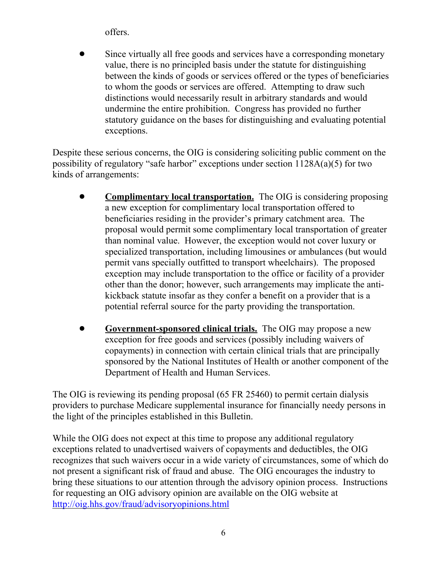offers.

• Since virtually all free goods and services have a corresponding monetary value, there is no principled basis under the statute for distinguishing between the kinds of goods or services offered or the types of beneficiaries to whom the goods or services are offered. Attempting to draw such distinctions would necessarily result in arbitrary standards and would undermine the entire prohibition. Congress has provided no further statutory guidance on the bases for distinguishing and evaluating potential exceptions.

Despite these serious concerns, the OIG is considering soliciting public comment on the possibility of regulatory "safe harbor" exceptions under section 1128A(a)(5) for two kinds of arrangements:

- ! **Complimentary local transportation.** The OIG is considering proposing a new exception for complimentary local transportation offered to beneficiaries residing in the provider's primary catchment area. The proposal would permit some complimentary local transportation of greater than nominal value. However, the exception would not cover luxury or specialized transportation, including limousines or ambulances (but would permit vans specially outfitted to transport wheelchairs). The proposed exception may include transportation to the office or facility of a provider other than the donor; however, such arrangements may implicate the antikickback statute insofar as they confer a benefit on a provider that is a potential referral source for the party providing the transportation.
- ! **Government-sponsored clinical trials.** The OIG may propose a new exception for free goods and services (possibly including waivers of copayments) in connection with certain clinical trials that are principally sponsored by the National Institutes of Health or another component of the Department of Health and Human Services.

The OIG is reviewing its pending proposal (65 FR 25460) to permit certain dialysis providers to purchase Medicare supplemental insurance for financially needy persons in the light of the principles established in this Bulletin.

While the OIG does not expect at this time to propose any additional regulatory exceptions related to unadvertised waivers of copayments and deductibles, the OIG recognizes that such waivers occur in a wide variety of circumstances, some of which do not present a significant risk of fraud and abuse. The OIG encourages the industry to bring these situations to our attention through the advisory opinion process. Instructions for requesting an OIG advisory opinion are available on the OIG website at http://oig.hhs.gov/fraud/advisoryopinions.html